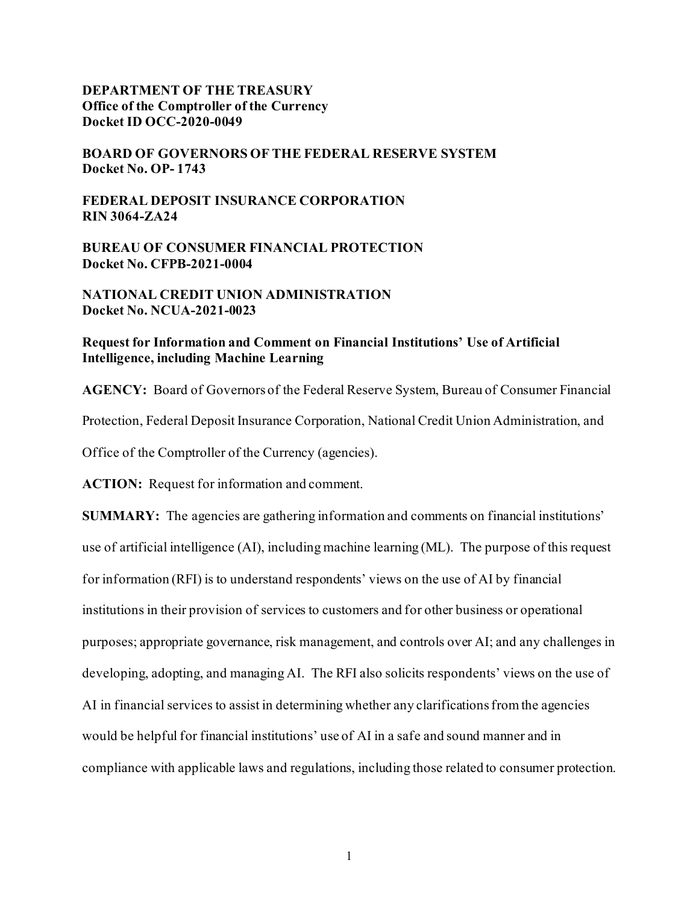#### **DEPARTMENT OF THE TREASURY Office of the Comptroller of the Currency Docket ID OCC-2020-0049**

**BOARD OF GOVERNORS OF THE FEDERAL RESERVE SYSTEM Docket No. OP- 1743**

**FEDERAL DEPOSIT INSURANCE CORPORATION RIN 3064-ZA24**

**BUREAU OF CONSUMER FINANCIAL PROTECTION Docket No. CFPB-2021-0004**

**NATIONAL CREDIT UNION ADMINISTRATION Docket No. NCUA-2021-0023**

#### **Request for Information and Comment on Financial Institutions' Use of Artificial Intelligence, including Machine Learning**

**AGENCY:** Board of Governors of the Federal Reserve System, Bureau of Consumer Financial Protection, Federal Deposit Insurance Corporation, National Credit Union Administration, and Office of the Comptroller of the Currency (agencies).

**ACTION:** Request for information and comment.

**SUMMARY:** The agencies are gathering information and comments on financial institutions' use of artificial intelligence (AI), including machine learning (ML). The purpose of this request for information (RFI) is to understand respondents' views on the use of AI by financial institutions in their provision of services to customers and for other business or operational purposes; appropriate governance, risk management, and controls over AI; and any challenges in developing, adopting, and managing AI. The RFI also solicits respondents' views on the use of AI in financial services to assist in determining whether any clarificationsfrom the agencies would be helpful for financial institutions' use of AI in a safe and sound manner and in compliance with applicable laws and regulations, including those related to consumer protection.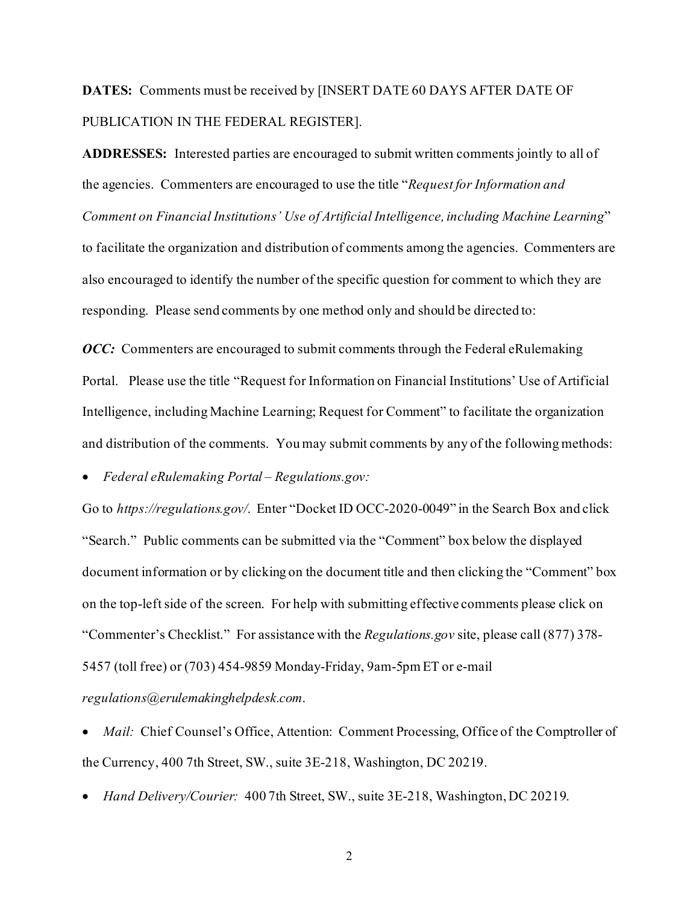# **DATES:** Comments must be received by [INSERT DATE 60 DAYS AFTER DATE OF PUBLICATION IN THE FEDERAL REGISTER].

**ADDRESSES:** Interested parties are encouraged to submit written comments jointly to all of the agencies. Commenters are encouraged to use the title "*Request for Information and Comment on Financial Institutions' Use of Artificial Intelligence, including Machine Learning*" to facilitate the organization and distribution of comments among the agencies. Commenters are also encouraged to identify the number of the specific question for comment to which they are responding. Please send comments by one method only and should be directed to:

*OCC*: Commenters are encouraged to submit comments through the Federal eRulemaking Portal. Please use the title "Request for Information on Financial Institutions' Use of Artificial Intelligence, including Machine Learning; Request for Comment" to facilitate the organization and distribution of the comments. You may submit comments by any of the following methods:

• *Federal eRulemaking Portal – Regulations.gov:*

Go to *https://regulations.gov/*. Enter "Docket ID OCC-2020-0049" in the Search Box and click "Search." Public comments can be submitted via the "Comment" box below the displayed document information or by clicking on the document title and then clicking the "Comment" box on the top-left side of the screen. For help with submitting effective comments please click on "Commenter's Checklist." For assistance with the *Regulations.gov* site, please call (877) 378- 5457 (toll free) or (703) 454-9859 Monday-Friday, 9am-5pm ET or e-mail *regulations@erulemakinghelpdesk.com*.

*Mail:* Chief Counsel's Office, Attention: Comment Processing, Office of the Comptroller of the Currency, 400 7th Street, SW., suite 3E-218, Washington, DC 20219.

• *Hand Delivery/Courier:* 400 7th Street, SW., suite 3E-218, Washington, DC 20219.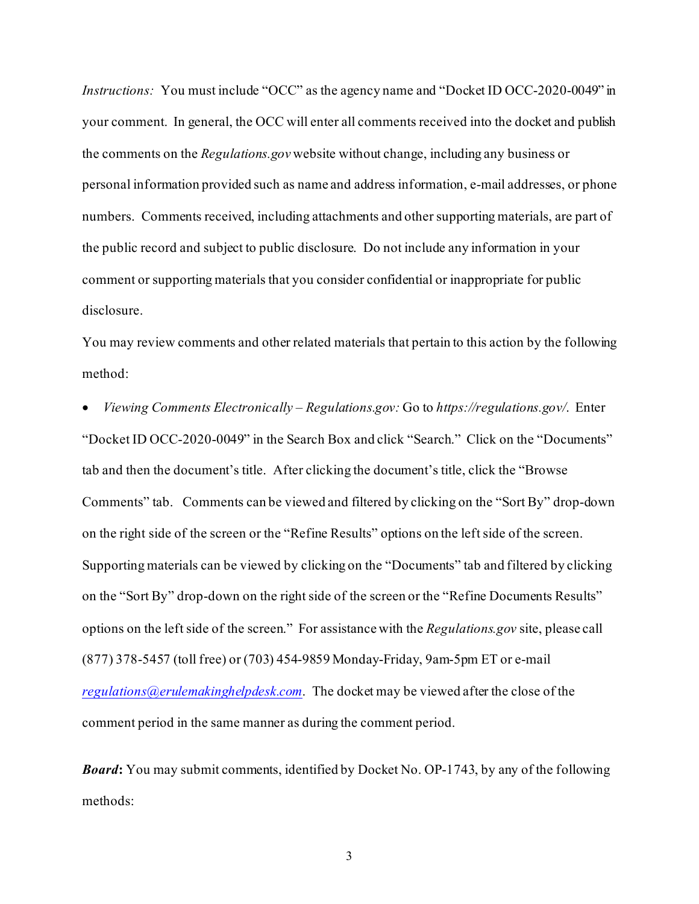*Instructions:* You must include "OCC" as the agency name and "Docket ID OCC-2020-0049" in your comment.In general, the OCC will enter all comments received into the docket and publish the comments on the *Regulations.gov* website without change, including any business or personal information provided such as name and address information, e-mail addresses, or phone numbers. Comments received, including attachments and other supporting materials, are part of the public record and subject to public disclosure. Do not include any information in your comment or supporting materials that you consider confidential or inappropriate for public disclosure.

You may review comments and other related materials that pertain to this action by the following method:

• *Viewing Comments Electronically – Regulations.gov:* Go to *https://regulations.gov/*. Enter "Docket ID OCC-2020-0049" in the Search Box and click "Search." Click on the "Documents" tab and then the document's title. After clicking the document's title, click the "Browse Comments" tab. Comments can be viewed and filtered by clicking on the "Sort By" drop-down on the right side of the screen or the "Refine Results" options on the left side of the screen. Supporting materials can be viewed by clicking on the "Documents" tab and filtered by clicking on the "Sort By" drop-down on the right side of the screen or the "Refine Documents Results" options on the left side of the screen." For assistance with the *Regulations.gov* site, please call (877) 378-5457 (toll free) or (703) 454-9859 Monday-Friday, 9am-5pm ET or e-mail *[regulations@erulemakinghelpdesk.com](mailto:regulations@erulemakinghelpdesk.com)*. The docket may be viewed after the close of the comment period in the same manner as during the comment period.

*Board***:** You may submit comments, identified by Docket No. OP-1743, by any of the following methods: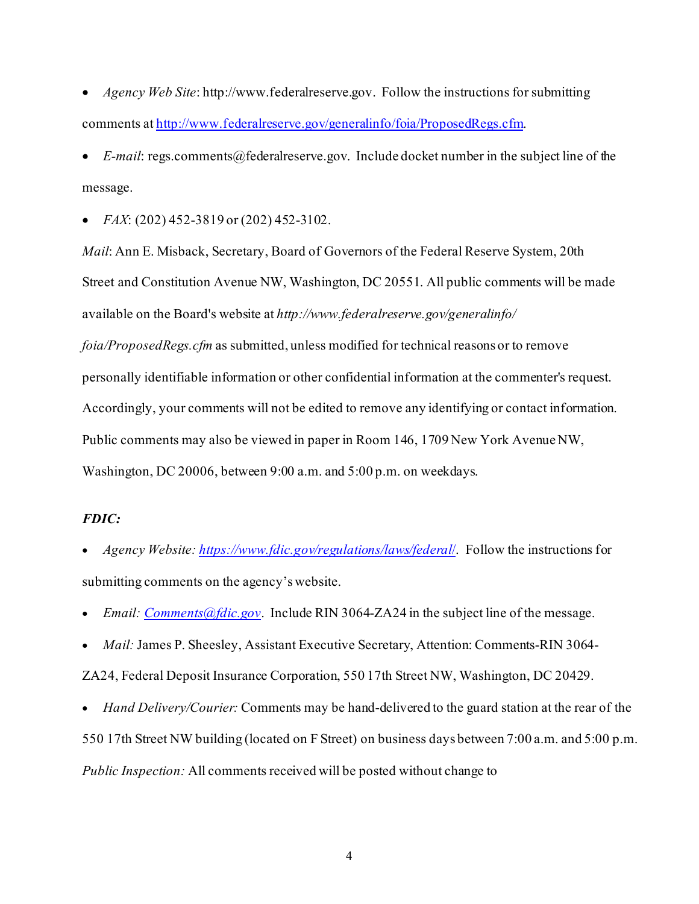• *Agency Web Site*: http://www.federalreserve.gov. Follow the instructions for submitting comments a[t http://www.federalreserve.gov/generalinfo/foia/ProposedRegs.cfm](http://www.federalreserve.gov/generalinfo/foia/ProposedRegs.cfm).

• *E-mail*: regs.comments@federalreserve.gov. Include docket number in the subject line of the message.

• *FAX*: (202) 452-3819 or (202) 452-3102.

*Mail*: Ann E. Misback, Secretary, Board of Governors of the Federal Reserve System, 20th Street and Constitution Avenue NW, Washington, DC 20551. All public comments will be made available on the Board's website at *http://www.federalreserve.gov/generalinfo/*

*foia/ProposedRegs.cfm* as submitted, unless modified for technical reasons or to remove personally identifiable information or other confidential information at the commenter's request. Accordingly, your comments will not be edited to remove any identifying or contact information. Public comments may also be viewed in paper in Room 146, 1709 New York Avenue NW, Washington, DC 20006, between 9:00 a.m. and 5:00 p.m. on weekdays.

#### *FDIC:*

- *Agency Website: [https://www.fdic.gov/regulations/laws/federal](https://www.fdic.gov/regulations/laws/federal/)*/. Follow the instructions for submitting comments on the agency's website.
- *Email: [Comments@fdic.gov](mailto:Comments@fdic.gov)*. Include RIN 3064-ZA24 in the subject line of the message.
- *Mail:* James P. Sheesley, Assistant Executive Secretary, Attention: Comments-RIN 3064-

ZA24, Federal Deposit Insurance Corporation, 550 17th Street NW, Washington, DC 20429.

• *Hand Delivery/Courier:* Comments may be hand-delivered to the guard station at the rear of the 550 17th Street NW building (located on F Street) on business days between 7:00 a.m. and 5:00 p.m. *Public Inspection:* All comments received will be posted without change to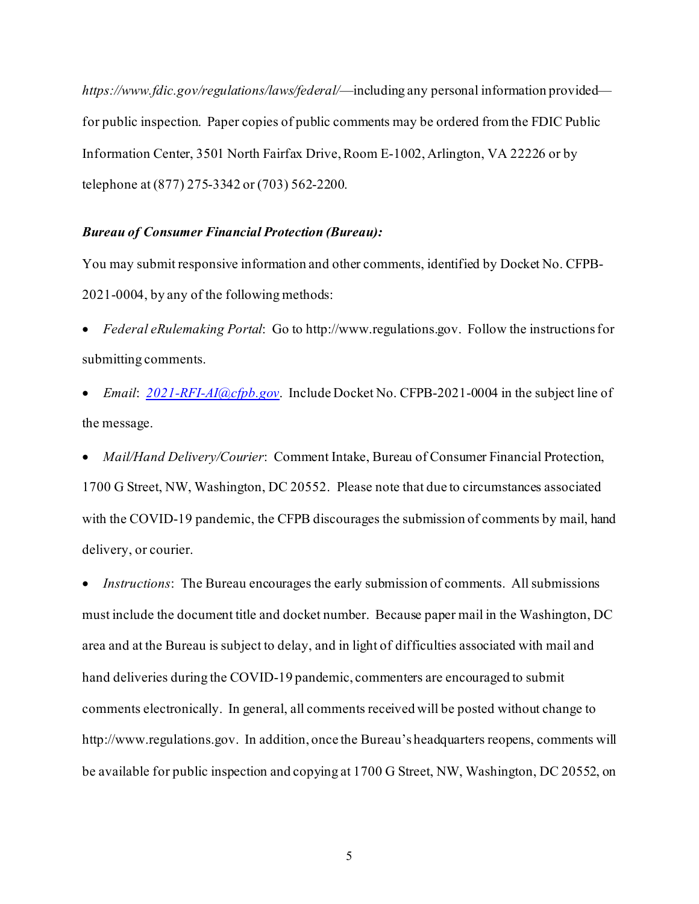*https://www.fdic.gov/regulations/laws/federal/*—including any personal information provided for public inspection. Paper copies of public comments may be ordered from the FDIC Public Information Center, 3501 North Fairfax Drive, Room E-1002, Arlington, VA 22226 or by telephone at (877) 275-3342 or (703) 562-2200.

#### *Bureau of Consumer Financial Protection (Bureau):*

You may submit responsive information and other comments, identified by Docket No. CFPB-2021-0004, by any of the following methods:

- *Federal eRulemaking Portal*: Go to http://www.regulations.gov. Follow the instructionsfor submitting comments.
- *Email*: *[2021-RFI-AI@cfpb.gov](mailto:2021-RFI-AI@cfpb.gov)*. Include Docket No. CFPB-2021-0004 in the subject line of the message.
- *Mail/Hand Delivery/Courier*: Comment Intake, Bureau of Consumer Financial Protection, 1700 G Street, NW, Washington, DC 20552. Please note that due to circumstances associated with the COVID-19 pandemic, the CFPB discourages the submission of comments by mail, hand delivery, or courier.

*Instructions*: The Bureau encourages the early submission of comments. All submissions must include the document title and docket number. Because paper mail in the Washington, DC area and at the Bureau is subject to delay, and in light of difficulties associated with mail and hand deliveries during the COVID-19 pandemic, commenters are encouraged to submit comments electronically. In general, all comments received will be posted without change to http://www.regulations.gov. In addition, once the Bureau's headquarters reopens, comments will be available for public inspection and copying at 1700 G Street, NW, Washington, DC 20552, on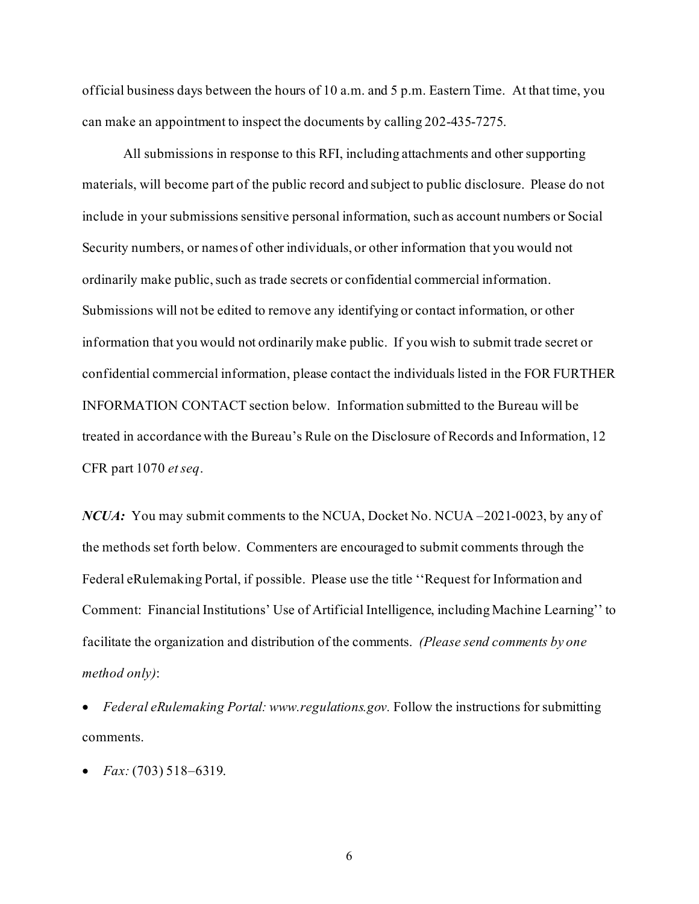official business days between the hours of 10 a.m. and 5 p.m. Eastern Time. At that time, you can make an appointment to inspect the documents by calling 202-435-7275.

All submissions in response to this RFI, including attachments and other supporting materials, will become part of the public record and subject to public disclosure. Please do not include in your submissions sensitive personal information, such as account numbers or Social Security numbers, or names of other individuals, or other information that you would not ordinarily make public, such as trade secrets or confidential commercial information. Submissions will not be edited to remove any identifying or contact information, or other information that you would not ordinarily make public. If you wish to submit trade secret or confidential commercial information, please contact the individuals listed in the FOR FURTHER INFORMATION CONTACT section below. Information submitted to the Bureau will be treated in accordance with the Bureau's Rule on the Disclosure of Records and Information, 12 CFR part 1070 *et seq*.

*NCUA*: You may submit comments to the NCUA, Docket No. NCUA –2021-0023, by any of the methods set forth below. Commenters are encouraged to submit comments through the Federal eRulemaking Portal, if possible. Please use the title ''Request for Information and Comment: Financial Institutions' Use of Artificial Intelligence, including Machine Learning'' to facilitate the organization and distribution of the comments. *(Please send comments by one method only)*:

• *Federal eRulemaking Portal: www.regulations.gov.* Follow the instructions for submitting comments.

• *Fax:* (703) 518–6319.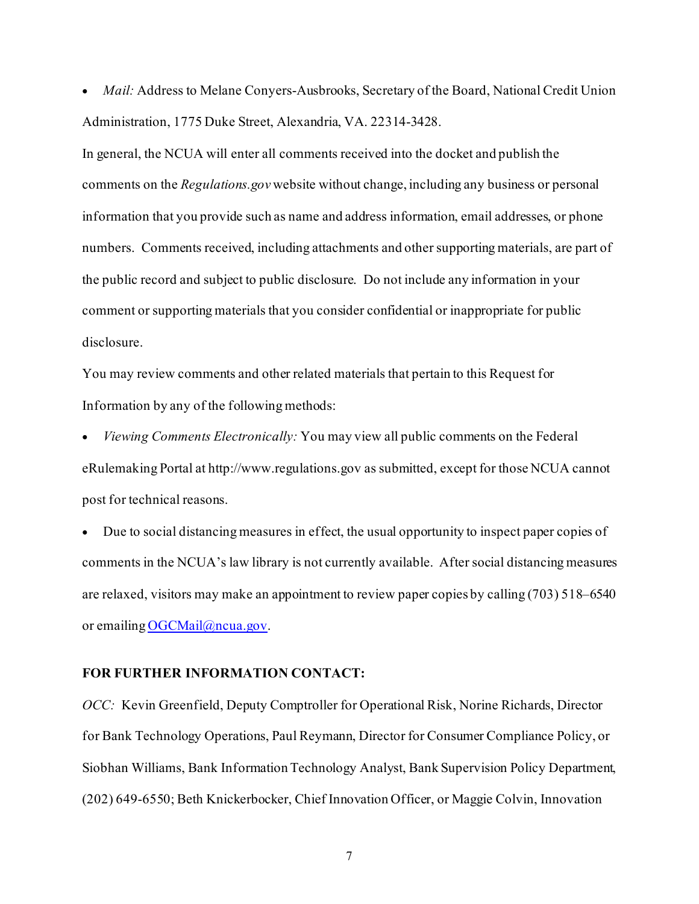• *Mail:* Address to Melane Conyers-Ausbrooks, Secretary of the Board, National Credit Union Administration, 1775 Duke Street, Alexandria, VA. 22314-3428.

In general, the NCUA will enter all comments received into the docket and publish the comments on the *Regulations.gov* website without change, including any business or personal information that you provide such as name and address information, email addresses, or phone numbers. Comments received, including attachments and other supporting materials, are part of the public record and subject to public disclosure.Do not include any information in your comment or supporting materials that you consider confidential or inappropriate for public disclosure.

You may review comments and other related materials that pertain to this Request for Information by any of the following methods:

• *Viewing Comments Electronically:* You may view all public comments on the Federal eRulemaking Portal at http://www.regulations.gov as submitted, except for those NCUA cannot post for technical reasons.

• Due to social distancing measures in effect, the usual opportunity to inspect paper copies of comments in the NCUA's law library is not currently available. After social distancing measures are relaxed, visitors may make an appointment to review paper copies by calling (703) 518–6540 or emailing [OGCMail@ncua.gov.](mailto:OGCMail@ncua.gov)

#### **FOR FURTHER INFORMATION CONTACT:**

*OCC:* Kevin Greenfield, Deputy Comptroller for Operational Risk, Norine Richards, Director for Bank Technology Operations, Paul Reymann, Director for Consumer Compliance Policy, or Siobhan Williams, Bank Information Technology Analyst, Bank Supervision Policy Department, (202) 649-6550; Beth Knickerbocker, Chief Innovation Officer, or Maggie Colvin, Innovation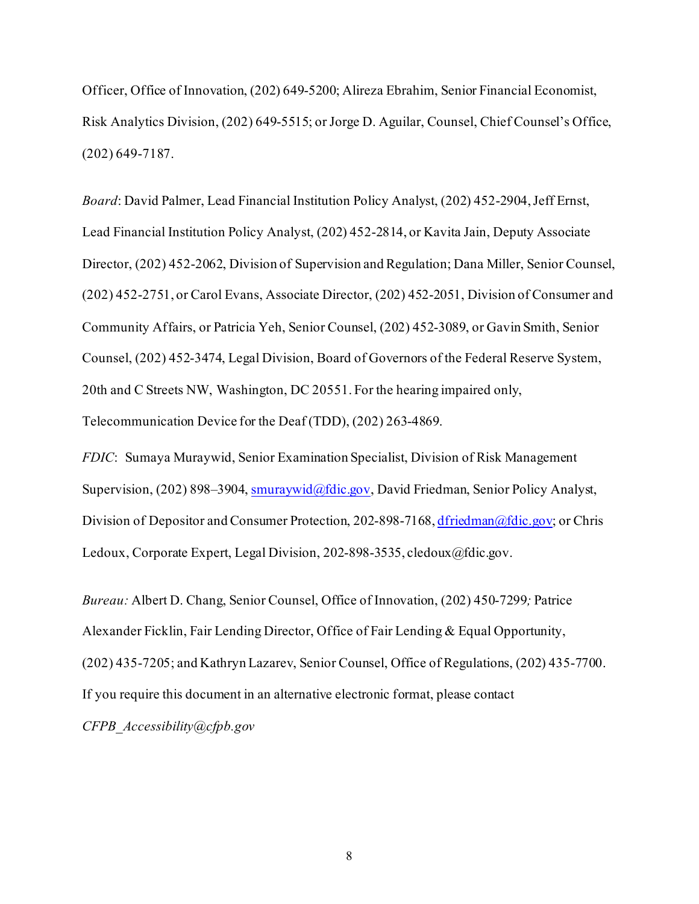Officer, Office of Innovation, (202) 649-5200; Alireza Ebrahim, Senior Financial Economist, Risk Analytics Division, (202) 649-5515; or Jorge D. Aguilar, Counsel, Chief Counsel's Office, (202) 649-7187.

*Board*: David Palmer, Lead Financial Institution Policy Analyst, (202) 452-2904, Jeff Ernst, Lead Financial Institution Policy Analyst, (202) 452-2814, or Kavita Jain, Deputy Associate Director, (202) 452-2062, Division of Supervision and Regulation; Dana Miller, Senior Counsel, (202) 452-2751, or Carol Evans, Associate Director, (202) 452-2051, Division of Consumer and Community Affairs, or Patricia Yeh, Senior Counsel, (202) 452-3089, or Gavin Smith, Senior Counsel, (202) 452-3474, Legal Division, Board of Governors of the Federal Reserve System, 20th and C Streets NW, Washington, DC 20551. For the hearing impaired only, Telecommunication Device for the Deaf (TDD), (202) 263-4869.

*FDIC*: Sumaya Muraywid, Senior Examination Specialist, Division of Risk Management Supervision, (202) 898–3904[, smuraywid@fdic.gov,](mailto:smuraywid@fdic.gov) David Friedman, Senior Policy Analyst, Division of Depositor and Consumer Protection, 202-898-7168[, dfriedman@fdic.gov](mailto:dfriedman@fdic.gov); or Chris Ledoux, Corporate Expert, Legal Division, 202-898-3535, cledoux@fdic.gov.

*Bureau:* Albert D. Chang, Senior Counsel, Office of Innovation, (202) 450-7299*;* Patrice Alexander Ficklin, Fair Lending Director, Office of Fair Lending & Equal Opportunity, (202) 435-7205; and Kathryn Lazarev, Senior Counsel, Office of Regulations, (202) 435-7700. If you require this document in an alternative electronic format, please contact *CFPB\_Accessibility@cfpb.gov*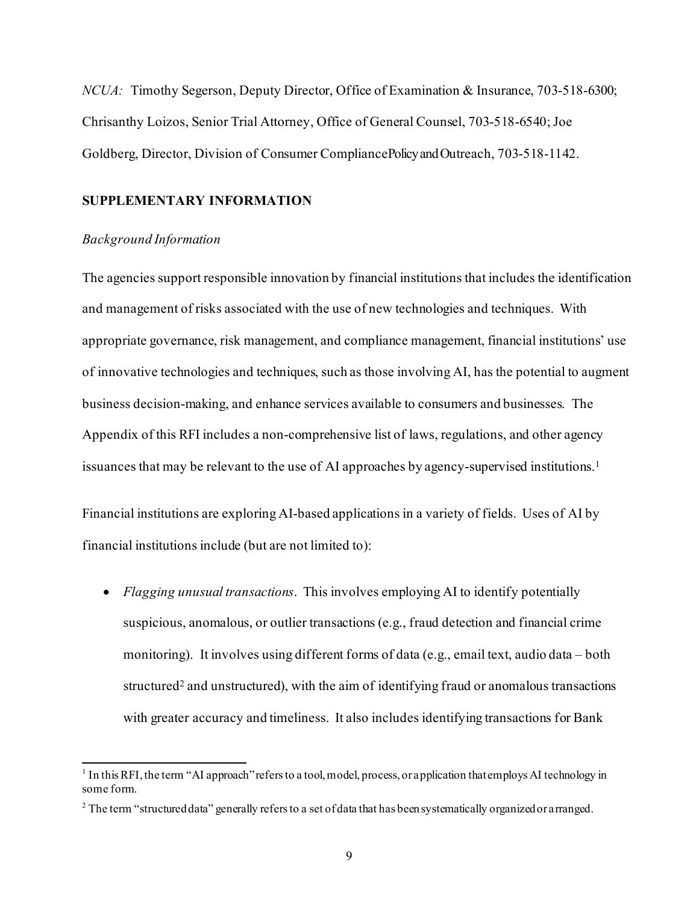*NCUA:* Timothy Segerson, Deputy Director, Office of Examination & Insurance, 703-518-6300; Chrisanthy Loizos, Senior Trial Attorney, Office of General Counsel, 703-518-6540; Joe Goldberg, Director, Division of Consumer Compliance Policy and Outreach, 703-518-1142.

#### **SUPPLEMENTARY INFORMATION**

#### *Background Information*

The agencies support responsible innovation by financial institutions that includes the identification and management of risks associated with the use of new technologies and techniques. With appropriate governance, risk management, and compliance management, financial institutions' use of innovative technologies and techniques, such as those involving AI, has the potential to augment business decision-making, and enhance services available to consumers and businesses. The Appendix of this RFI includes a non-comprehensive list of laws, regulations, and other agency issuances that may be relevant to the use of AI approaches by agency-supervised institutions. 1

Financial institutions are exploring AI-based applications in a variety of fields. Uses of AI by financial institutions include (but are not limited to):

• *Flagging unusual transactions*. This involves employing AI to identify potentially suspicious, anomalous, or outlier transactions (e.g., fraud detection and financial crime monitoring). It involves using different forms of data (e.g., email text, audio data – both structured<sup>2</sup> and unstructured), with the aim of identifying fraud or anomalous transactions with greater accuracy and timeliness. It also includes identifying transactions for Bank

<sup>&</sup>lt;sup>1</sup> In this RFI, the term "AI approach" refers to a tool, model, process, or application that employs AI technology in some form.

 $2$  The term "structured data" generally refers to a set of data that has been systematically organized or arranged.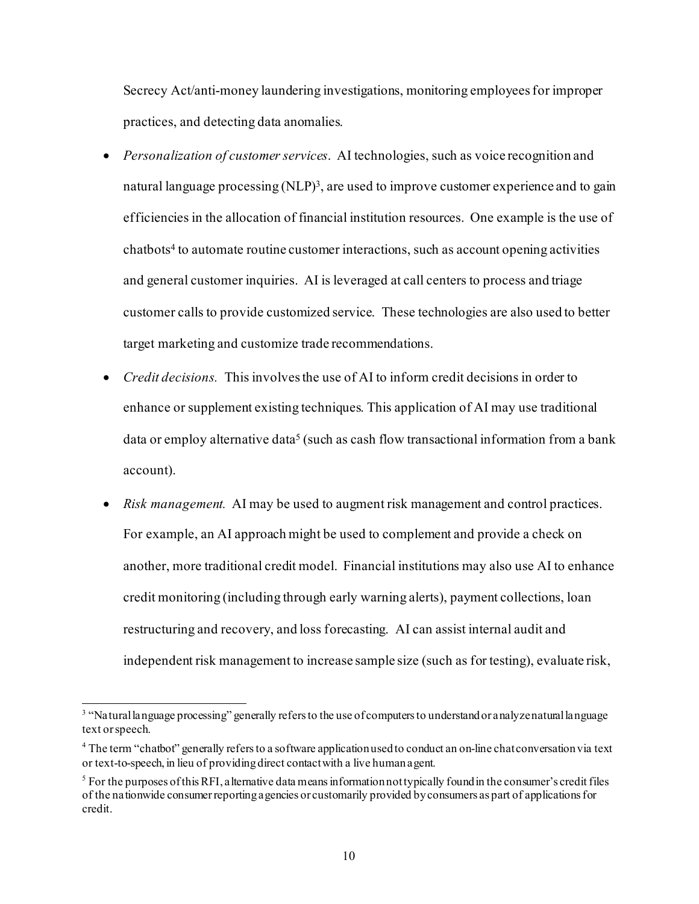Secrecy Act/anti-money laundering investigations, monitoring employees for improper practices, and detecting data anomalies.

- *Personalization of customer services*. AI technologies, such as voice recognition and natural language processing  $(NLP)^3$ , are used to improve customer experience and to gain efficiencies in the allocation of financial institution resources. One example is the use of chatbots4 to automate routine customer interactions, such as account opening activities and general customer inquiries. AI is leveraged at call centers to process and triage customer calls to provide customized service. These technologies are also used to better target marketing and customize trade recommendations.
- *Credit decisions.* This involves the use of AI to inform credit decisions in order to enhance or supplement existing techniques. This application of AI may use traditional data or employ alternative data<sup>5</sup> (such as cash flow transactional information from a bank account).
- *Risk management.* AI may be used to augment risk management and control practices. For example, an AI approach might be used to complement and provide a check on another, more traditional credit model. Financial institutions may also use AI to enhance credit monitoring (including through early warning alerts), payment collections, loan restructuring and recovery, and loss forecasting. AI can assist internal audit and independent risk management to increase sample size (such as for testing), evaluate risk,

<sup>&</sup>lt;sup>3</sup> "Natural language processing" generally refers to the use of computers to understand or analyze natural language text or speech.

<sup>4</sup> The term "chatbot" generally refers to a software application used to conduct an on-line chat conversation via text or text-to-speech, in lieu of providing direct contact with a live human agent.

 $<sup>5</sup>$  For the purposes of this RFI, a lternative data means information not typically found in the consumer's credit files</sup> of the nationwide consumer reporting agencies or customarily provided by consumers as part of applications for credit.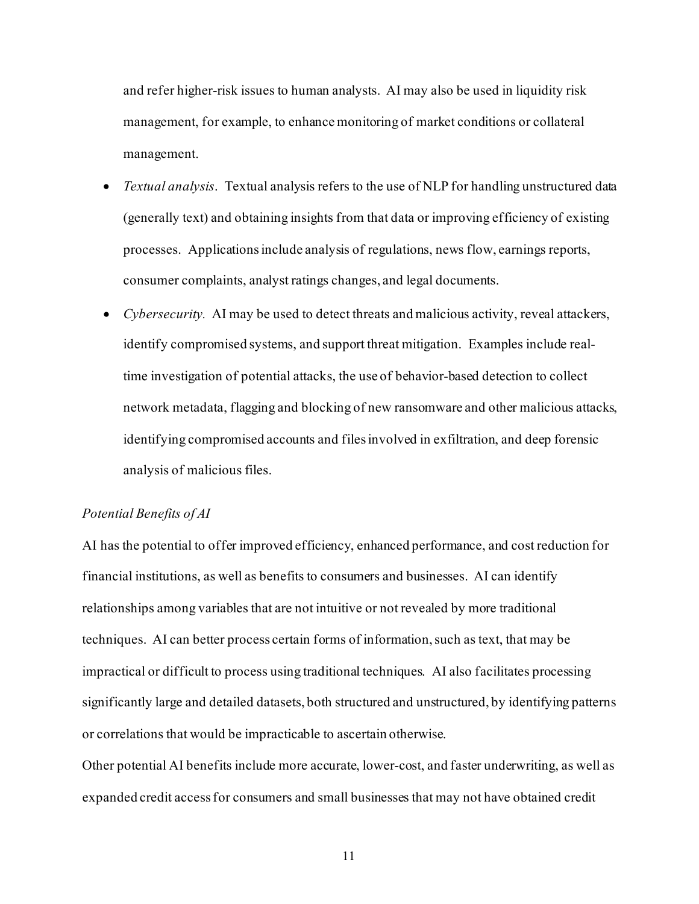and refer higher-risk issues to human analysts. AI may also be used in liquidity risk management, for example, to enhance monitoring of market conditions or collateral management.

- *Textual analysis*. Textual analysis refers to the use of NLP for handling unstructured data (generally text) and obtaining insights from that data or improving efficiency of existing processes. Applications include analysis of regulations, news flow, earnings reports, consumer complaints, analyst ratings changes, and legal documents.
- *Cybersecurity.* AI may be used to detect threats and malicious activity, reveal attackers, identify compromised systems, and support threat mitigation. Examples include realtime investigation of potential attacks, the use of behavior-based detection to collect network metadata, flagging and blocking of new ransomware and other malicious attacks, identifying compromised accounts and files involved in exfiltration, and deep forensic analysis of malicious files.

#### *Potential Benefits of AI*

AI has the potential to offer improved efficiency, enhanced performance, and cost reduction for financial institutions, as well as benefits to consumers and businesses. AI can identify relationships among variables that are not intuitive or not revealed by more traditional techniques. AI can better process certain forms of information, such as text, that may be impractical or difficult to process using traditional techniques. AI also facilitates processing significantly large and detailed datasets, both structured and unstructured, by identifying patterns or correlations that would be impracticable to ascertain otherwise.

Other potential AI benefits include more accurate, lower-cost, and faster underwriting, as well as expanded credit access for consumers and small businesses that may not have obtained credit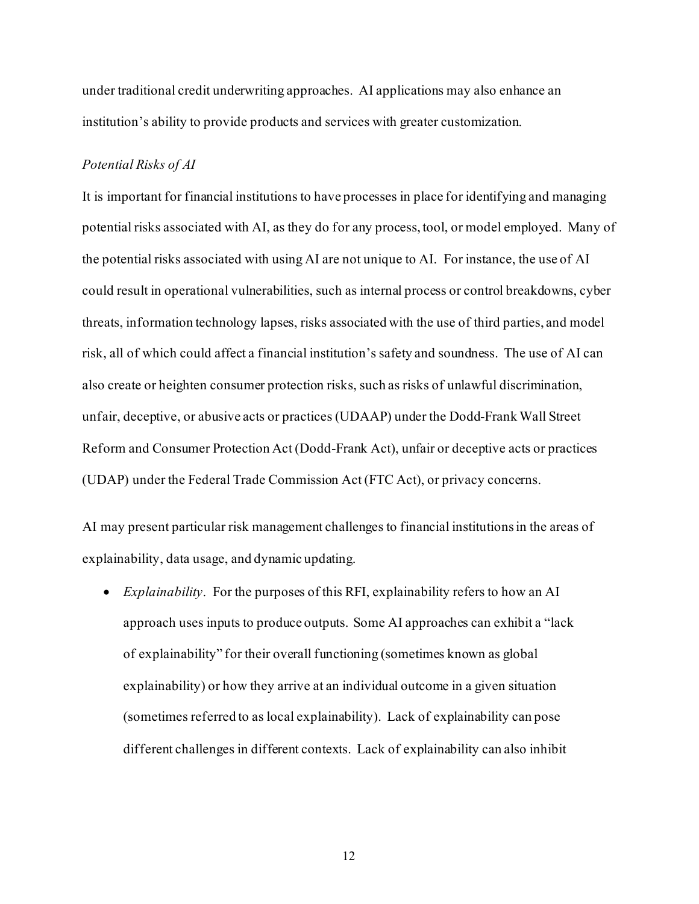under traditional credit underwriting approaches. AI applications may also enhance an institution's ability to provide products and services with greater customization.

#### *Potential Risks of AI*

It is important for financial institutions to have processes in place for identifying and managing potential risks associated with AI, as they do for any process, tool, or model employed. Many of the potential risks associated with using AI are not unique to AI. For instance, the use of AI could result in operational vulnerabilities, such as internal process or control breakdowns, cyber threats, information technology lapses, risks associated with the use of third parties, and model risk, all of which could affect a financial institution's safety and soundness. The use of AI can also create or heighten consumer protection risks, such as risks of unlawful discrimination, unfair, deceptive, or abusive acts or practices (UDAAP) under the Dodd-Frank Wall Street Reform and Consumer Protection Act (Dodd-Frank Act), unfair or deceptive acts or practices (UDAP) under the Federal Trade Commission Act (FTC Act), or privacy concerns.

AI may present particular risk management challenges to financial institutionsin the areas of explainability, data usage, and dynamic updating.

• *Explainability*. For the purposes of this RFI, explainability refers to how an AI approach uses inputs to produce outputs. Some AI approaches can exhibit a "lack of explainability" for their overall functioning (sometimes known as global explainability) or how they arrive at an individual outcome in a given situation (sometimes referred to as local explainability). Lack of explainability can pose different challenges in different contexts. Lack of explainability can also inhibit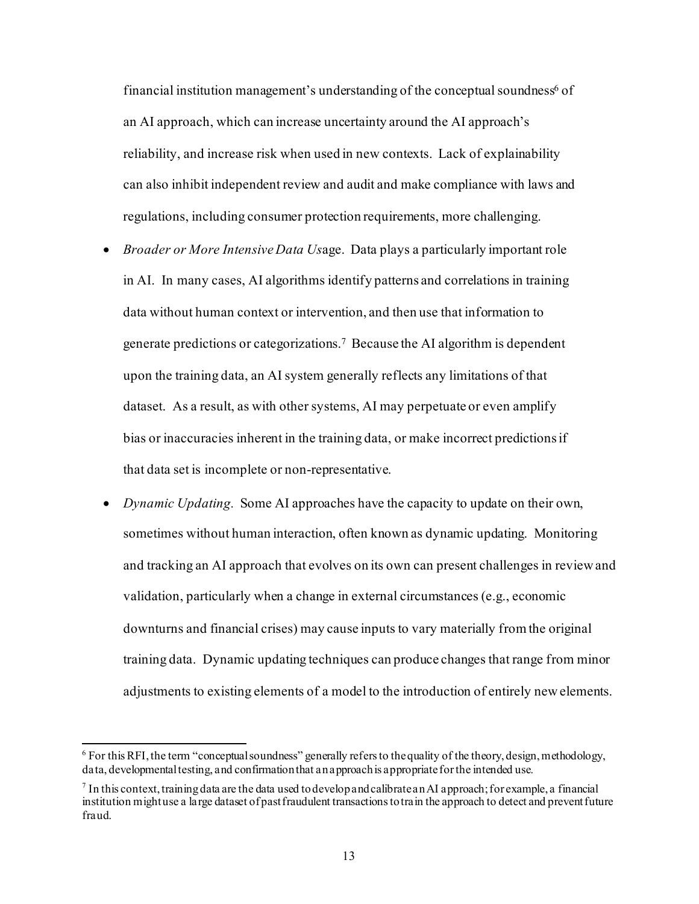financial institution management's understanding of the conceptual soundness<sup>6</sup> of an AI approach, which can increase uncertainty around the AI approach's reliability, and increase risk when used in new contexts. Lack of explainability can also inhibit independent review and audit and make compliance with laws and regulations, including consumer protection requirements, more challenging.

- *Broader or More Intensive Data Us*age. Data plays a particularly important role in AI. In many cases, AI algorithms identify patterns and correlations in training data without human context or intervention, and then use that information to generate predictions or categorizations.7 Because the AI algorithm is dependent upon the training data, an AI system generally reflects any limitations of that dataset. As a result, as with other systems, AI may perpetuate or even amplify bias or inaccuracies inherent in the training data, or make incorrect predictions if that data set is incomplete or non-representative.
- *Dynamic Updating.* Some AI approaches have the capacity to update on their own, sometimes without human interaction, often known as dynamic updating. Monitoring and tracking an AI approach that evolves on its own can present challenges in review and validation, particularly when a change in external circumstances (e.g., economic downturns and financial crises) may cause inputs to vary materially from the original training data. Dynamic updating techniques can produce changes that range from minor adjustments to existing elements of a model to the introduction of entirely new elements.

 $6$  For this RFI, the term "conceptual soundness" generally refers to the quality of the theory, design, methodology, data, developmental testing, and confirmation that an approach is appropriate for the intended use.

 $^7$  In this context, training data are the data used to develop and calibrate an AI approach; for example, a financial institution might use a large dataset of past fraudulent transactions to train the approach to detect and prevent future fraud.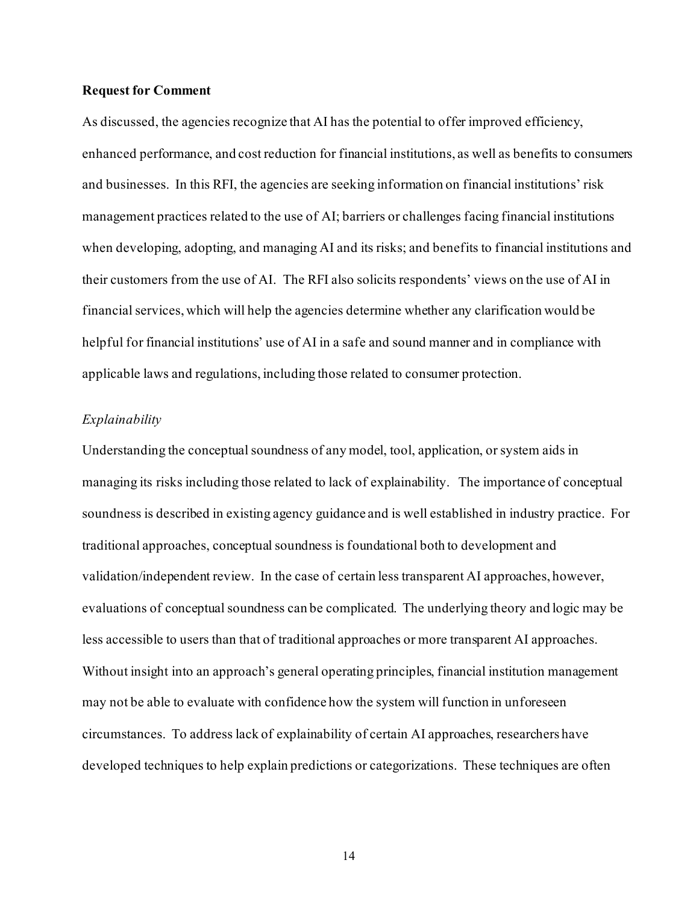#### **Request for Comment**

As discussed, the agencies recognize that AI has the potential to offer improved efficiency, enhanced performance, and cost reduction for financial institutions, as well as benefits to consumers and businesses. In this RFI, the agencies are seeking information on financial institutions' risk management practices related to the use of AI; barriers or challenges facing financial institutions when developing, adopting, and managing AI and its risks; and benefits to financial institutions and their customers from the use of AI. The RFI also solicits respondents' views on the use of AI in financial services, which will help the agencies determine whether any clarification would be helpful for financial institutions' use of AI in a safe and sound manner and in compliance with applicable laws and regulations, including those related to consumer protection.

#### *Explainability*

Understanding the conceptual soundness of any model, tool, application, or system aids in managing its risks including those related to lack of explainability. The importance of conceptual soundness is described in existing agency guidance and is well established in industry practice. For traditional approaches, conceptual soundness is foundational both to development and validation/independent review. In the case of certain less transparent AI approaches, however, evaluations of conceptual soundness can be complicated. The underlying theory and logic may be less accessible to users than that of traditional approaches or more transparent AI approaches. Without insight into an approach's general operating principles, financial institution management may not be able to evaluate with confidence how the system will function in unforeseen circumstances. To address lack of explainability of certain AI approaches, researchers have developed techniques to help explain predictions or categorizations. These techniques are often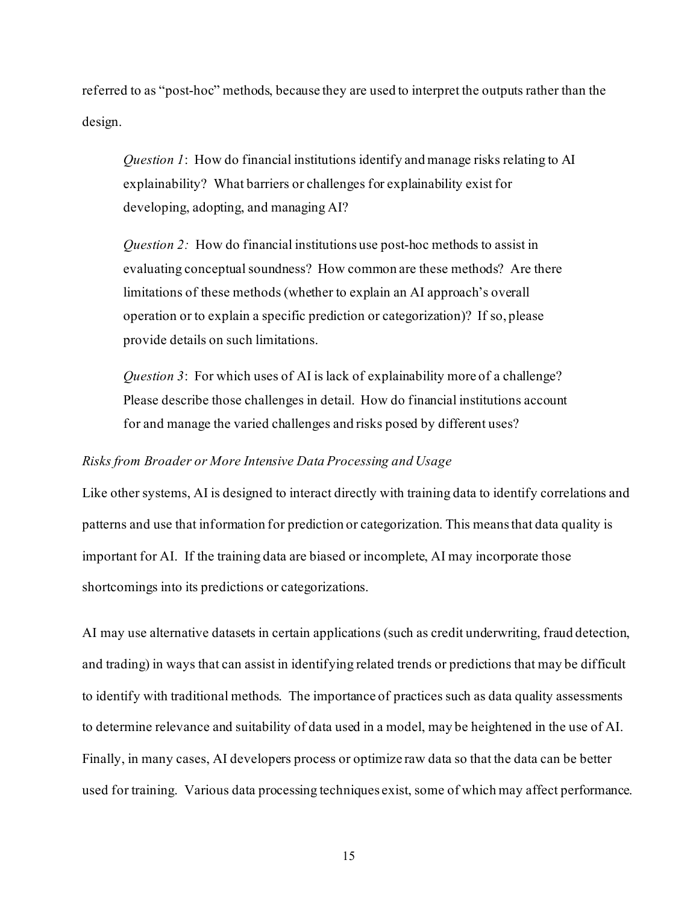referred to as "post-hoc" methods, because they are used to interpret the outputs rather than the design.

*Question 1*: How do financial institutions identify and manage risks relating to AI explainability? What barriers or challenges for explainability exist for developing, adopting, and managing AI?

*Question 2:* How do financial institutions use post-hoc methods to assist in evaluating conceptual soundness? How common are these methods? Are there limitations of these methods (whether to explain an AI approach's overall operation or to explain a specific prediction or categorization)? If so, please provide details on such limitations.

*Question 3*: For which uses of AI is lack of explainability more of a challenge? Please describe those challenges in detail. How do financial institutions account for and manage the varied challenges and risks posed by different uses?

#### *Risks from Broader or More Intensive Data Processing and Usage*

Like other systems, AI is designed to interact directly with training data to identify correlations and patterns and use that information for prediction or categorization. This means that data quality is important for AI. If the training data are biased or incomplete, AI may incorporate those shortcomings into its predictions or categorizations.

AI may use alternative datasets in certain applications (such as credit underwriting, fraud detection, and trading) in ways that can assist in identifying related trends or predictions that may be difficult to identify with traditional methods. The importance of practices such as data quality assessments to determine relevance and suitability of data used in a model, may be heightened in the use of AI. Finally, in many cases, AI developers process or optimize raw data so that the data can be better used for training. Various data processing techniques exist, some of which may affect performance.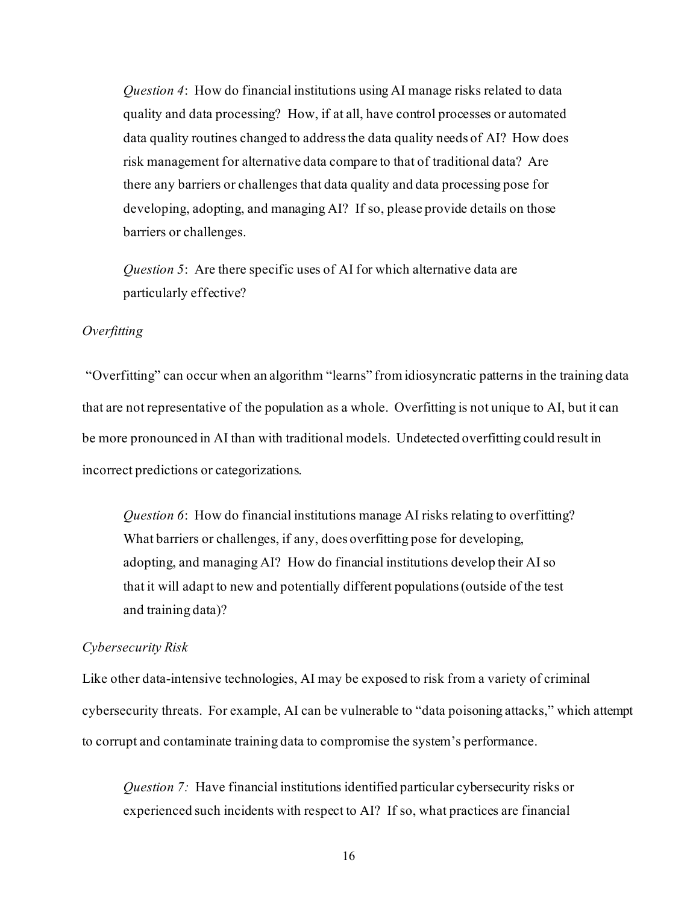*Question 4*: How do financial institutions using AI manage risks related to data quality and data processing? How, if at all, have control processes or automated data quality routines changed to addressthe data quality needs of AI? How does risk management for alternative data compare to that of traditional data? Are there any barriers or challenges that data quality and data processing pose for developing, adopting, and managing AI? If so, please provide details on those barriers or challenges.

*Question 5*: Are there specific uses of AI for which alternative data are particularly effective?

#### *Overfitting*

"Overfitting" can occur when an algorithm "learns" from idiosyncratic patterns in the training data that are not representative of the population as a whole. Overfitting is not unique to AI, but it can be more pronounced in AI than with traditional models. Undetected overfitting could result in incorrect predictions or categorizations.

*Question 6*: How do financial institutions manage AI risks relating to overfitting? What barriers or challenges, if any, does overfitting pose for developing, adopting, and managing AI? How do financial institutions develop their AI so that it will adapt to new and potentially different populations (outside of the test and training data)?

#### *Cybersecurity Risk*

Like other data-intensive technologies, AI may be exposed to risk from a variety of criminal cybersecurity threats. For example, AI can be vulnerable to "data poisoning attacks," which attempt to corrupt and contaminate training data to compromise the system's performance.

*Question 7:* Have financial institutions identified particular cybersecurity risks or experienced such incidents with respect to AI? If so, what practices are financial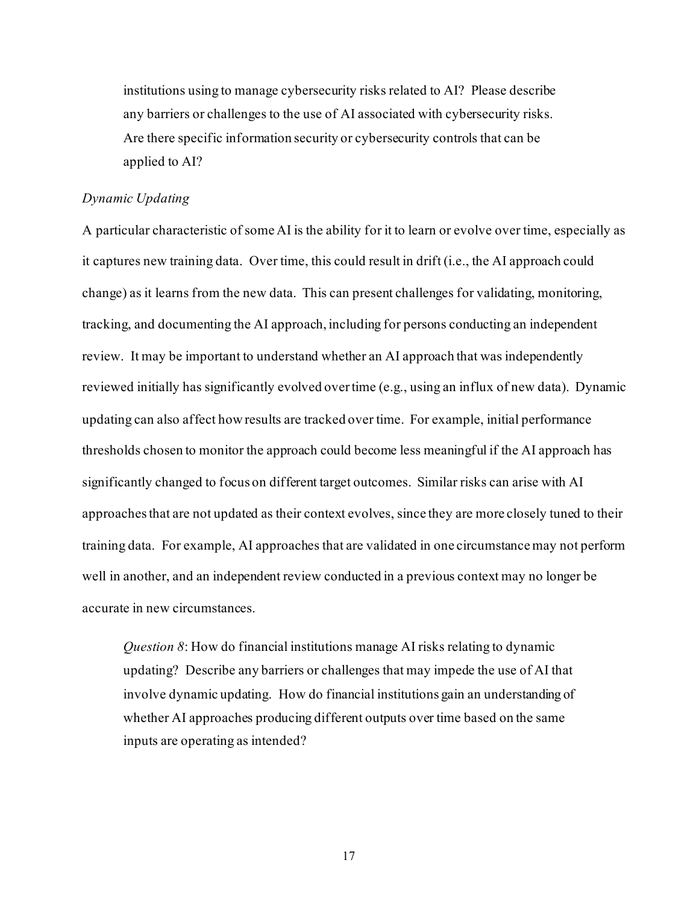institutions using to manage cybersecurity risks related to AI? Please describe any barriers or challenges to the use of AI associated with cybersecurity risks. Are there specific information security or cybersecurity controls that can be applied to AI?

#### *Dynamic Updating*

A particular characteristic of some AI is the ability for it to learn or evolve over time, especially as it captures new training data. Over time, this could result in drift (i.e., the AI approach could change) as it learns from the new data. This can present challenges for validating, monitoring, tracking, and documenting the AI approach, including for persons conducting an independent review. It may be important to understand whether an AI approach that was independently reviewed initially has significantly evolved over time (e.g., using an influx of new data). Dynamic updating can also affect how results are tracked over time. For example, initial performance thresholds chosen to monitor the approach could become less meaningful if the AI approach has significantly changed to focus on different target outcomes. Similar risks can arise with AI approaches that are not updated as their context evolves, since they are more closely tuned to their training data. For example, AI approaches that are validated in one circumstance may not perform well in another, and an independent review conducted in a previous context may no longer be accurate in new circumstances.

*Question 8*: How do financial institutions manage AI risks relating to dynamic updating? Describe any barriers or challenges that may impede the use of AI that involve dynamic updating. How do financial institutions gain an understanding of whether AI approaches producing different outputs over time based on the same inputs are operating as intended?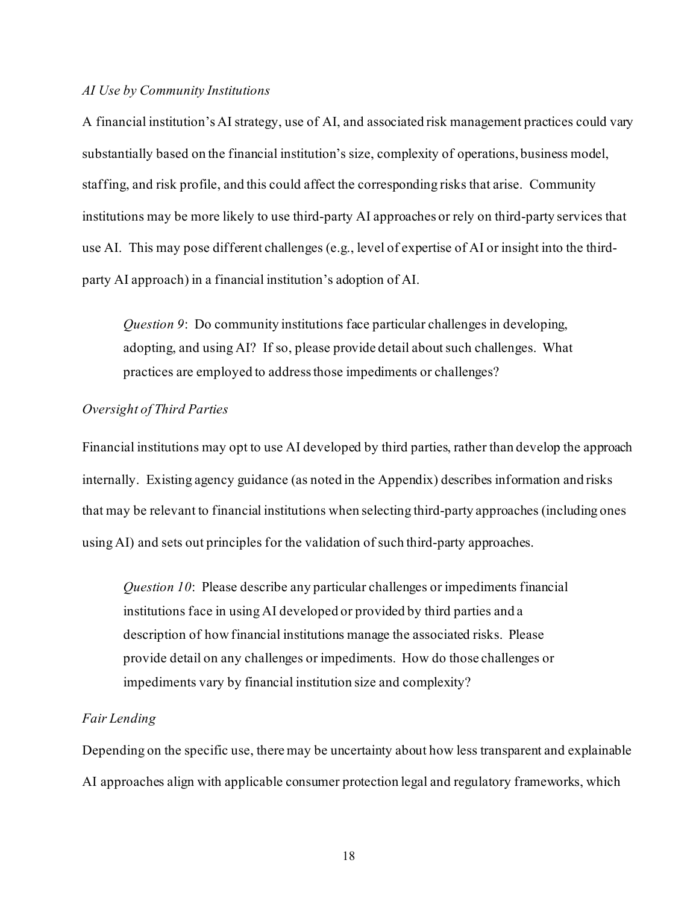### *AI Use by Community Institutions*

A financial institution'sAI strategy, use of AI, and associated risk management practices could vary substantially based on the financial institution's size, complexity of operations, business model, staffing, and risk profile, and this could affect the corresponding risks that arise. Community institutions may be more likely to use third-party AI approaches or rely on third-party services that use AI. This may pose different challenges (e.g., level of expertise of AI or insight into the thirdparty AI approach) in a financial institution's adoption of AI.

*Question 9*: Do community institutions face particular challenges in developing, adopting, and using AI? If so, please provide detail about such challenges. What practices are employed to address those impediments or challenges?

#### *Oversight of Third Parties*

Financial institutions may opt to use AI developed by third parties, rather than develop the approach internally. Existing agency guidance (as noted in the Appendix) describes information and risks that may be relevant to financial institutions when selecting third-party approaches (including ones using AI) and sets out principles for the validation of such third-party approaches.

*Question 10*: Please describe any particular challenges or impediments financial institutions face in using AI developed or provided by third parties and a description of how financial institutions manage the associated risks. Please provide detail on any challenges or impediments. How do those challenges or impediments vary by financial institution size and complexity?

#### *Fair Lending*

Depending on the specific use, there may be uncertainty about how less transparent and explainable AI approaches align with applicable consumer protection legal and regulatory frameworks, which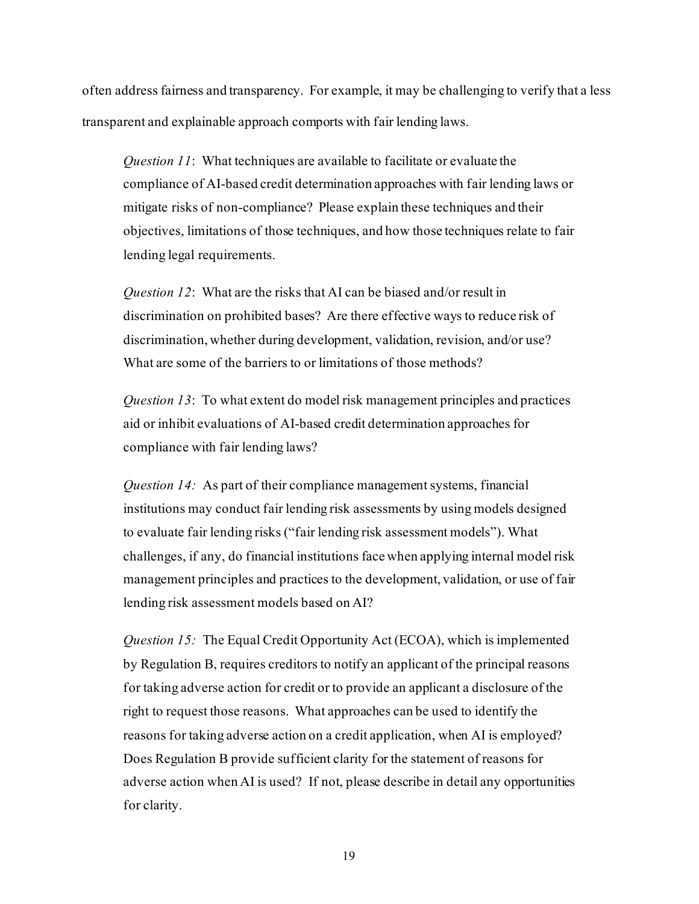often address fairness and transparency. For example, it may be challenging to verify that a less transparent and explainable approach comports with fair lending laws.

*Question 11*: What techniques are available to facilitate or evaluate the compliance of AI-based credit determination approaches with fair lending laws or mitigate risks of non-compliance? Please explain these techniques and their objectives, limitations of those techniques, and how those techniques relate to fair lending legal requirements.

*Question 12*: What are the risks that AI can be biased and/or result in discrimination on prohibited bases? Are there effective ways to reduce risk of discrimination, whether during development, validation, revision, and/or use? What are some of the barriers to or limitations of those methods?

*Question 13*: To what extent do model risk management principles and practices aid or inhibit evaluations of AI-based credit determination approaches for compliance with fair lending laws?

*Question 14:* As part of their compliance management systems, financial institutions may conduct fair lending risk assessments by using models designed to evaluate fair lending risks ("fair lending risk assessment models"). What challenges, if any, do financial institutions face when applying internal model risk management principles and practices to the development, validation, or use of fair lending risk assessment models based on AI?

*Question 15:* The Equal Credit Opportunity Act (ECOA), which is implemented by Regulation B, requires creditors to notify an applicant of the principal reasons for taking adverse action for credit or to provide an applicant a disclosure of the right to request those reasons. What approaches can be used to identify the reasons for taking adverse action on a credit application, when AI is employed? Does Regulation B provide sufficient clarity for the statement of reasons for adverse action when AI is used? If not, please describe in detail any opportunities for clarity.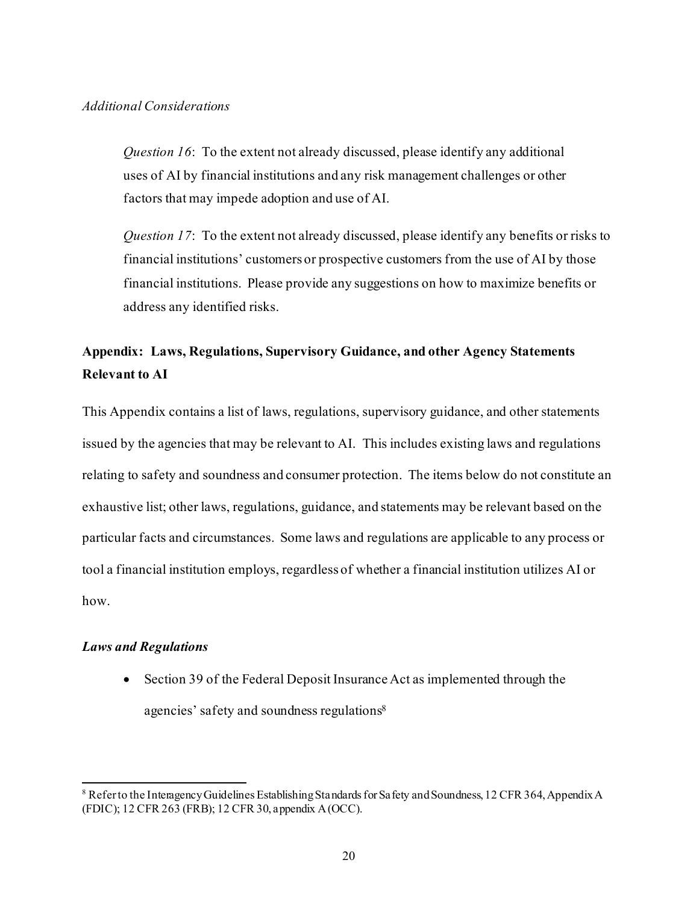#### *Additional Considerations*

*Question 16*: To the extent not already discussed, please identify any additional uses of AI by financial institutions and any risk management challenges or other factors that may impede adoption and use of AI.

*Question 17*: To the extent not already discussed, please identify any benefits or risks to financial institutions' customers or prospective customers from the use of AI by those financial institutions. Please provide any suggestions on how to maximize benefits or address any identified risks.

# **Appendix: Laws, Regulations, Supervisory Guidance, and other Agency Statements Relevant to AI**

This Appendix contains a list of laws, regulations, supervisory guidance, and other statements issued by the agencies that may be relevant to AI. This includes existing laws and regulations relating to safety and soundness and consumer protection. The items below do not constitute an exhaustive list; other laws, regulations, guidance, and statements may be relevant based on the particular facts and circumstances. Some laws and regulations are applicable to any process or tool a financial institution employs, regardless of whether a financial institution utilizes AI or how.

#### *Laws and Regulations*

• Section 39 of the Federal Deposit Insurance Act as implemented through the agencies' safety and soundness regulations8

<sup>8</sup> Refer to the Interagency Guidelines Establishing Standards for Safety and Soundness, 12 CFR 364, Appendix A (FDIC); 12 CFR 263 (FRB); 12 CFR 30, appendix A(OCC).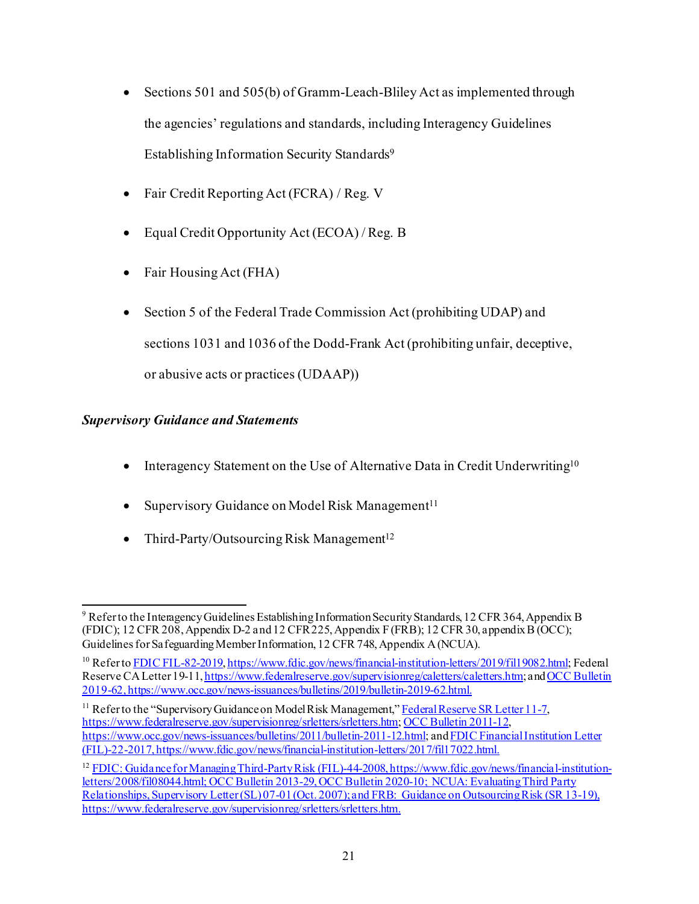- Sections 501 and 505(b) of Gramm-Leach-Bliley Act as implemented through the agencies' regulations and standards, including Interagency Guidelines Establishing Information Security Standards9
- Fair Credit Reporting Act (FCRA) / Reg. V
- Equal Credit Opportunity Act (ECOA) / Reg. B
- Fair Housing Act (FHA)
- Section 5 of the Federal Trade Commission Act (prohibiting UDAP) and sections 1031 and 1036 of the Dodd-Frank Act (prohibiting unfair, deceptive, or abusive acts or practices (UDAAP))

# *Supervisory Guidance and Statements*

- Interagency Statement on the Use of Alternative Data in Credit Underwriting<sup>10</sup>
- Supervisory Guidance on Model Risk Management<sup>11</sup>
- Third-Party/Outsourcing Risk Management<sup>12</sup>

<sup>9</sup> Refer to the Interagency Guidelines Establishing Information Security Standards, 12 CFR 364, Appendix B (FDIC); 12 CFR 208, Appendix D-2 and 12 CFR 225, Appendix F (FRB); 12 CFR 30, appendix B (OCC); Guidelines for Safeguarding Member Information, 12 CFR 748, Appendix A (NCUA).

<sup>&</sup>lt;sup>10</sup> Refer t[o FDIC FIL-82-2019](https://www.fdic.gov/news/financial-institution-letters/2019/fil19082.html), [https://www.fdic.gov/news/financial-institution-letters/2019/fil19082.html;](https://www.fdic.gov/news/financial-institution-letters/2019/fil19082.html) Federal Reserve CA Letter 19-11, <https://www.federalreserve.gov/supervisionreg/caletters/caletters.htm>; and OCC Bulletin [2019-62](https://www.occ.gov/news-issuances/bulletins/2019/bulletin-2019-62.html), https://www.occ.gov/news-issuances/bulletins/2019/bulletin-2019-62.html.

<sup>&</sup>lt;sup>11</sup> Refer to the "Supervisory Guidance on Model Risk Management,[" Federal Reserve SR Letter 11-7](https://www.federalreserve.gov/supervisionreg/srletters/sr1107.htm), <https://www.federalreserve.gov/supervisionreg/srletters/srletters.htm>[; OCC Bulletin 2011-12](https://www.occ.gov/news-issuances/bulletins/2011/bulletin-2011-12.html), [https://www.occ.gov/news-issuances/bulletins/2011/bulletin-2011-12.html;](https://www.occ.gov/news-issuances/bulletins/2011/bulletin-2011-12.html) an[d FDIC Financial Institution Letter](https://www.fdic.gov/news/financial-institution-letters/2017/fil17022.html) [\(FIL\)-22-2017,](https://www.fdic.gov/news/financial-institution-letters/2017/fil17022.html) https://www.fdic.gov/news/financial-institution-letters/2017/fil17022.html.

<sup>&</sup>lt;sup>12</sup> FDIC: [Guidance for Managing Third-Party Risk \(FIL\)-44-2008, https://www.fdic.gov/news/financial-institution](https://www.fdic.gov/news/financial-institution-letters/2008/fil08044.html)[letters/2008/fil08044.html](https://www.fdic.gov/news/financial-institution-letters/2008/fil08044.html)[; OCC Bulletin 2013-29](https://www.occ.gov/news-issuances/bulletins/2013/bulletin-2013-29.html)[, OCC Bulletin 2020-10](https://www.occ.gov/news-issuances/bulletins/2020/bulletin-2020-10.html); NCUA: Evaluating Third Party Relationships, Supervisory Letter (SL) 07-01 (Oct. 2007); and FRB: Guidance on Outsourcing Risk (SR 13-19), https://www.federalreserve.gov/supervisionreg/srletters/srletters.htm.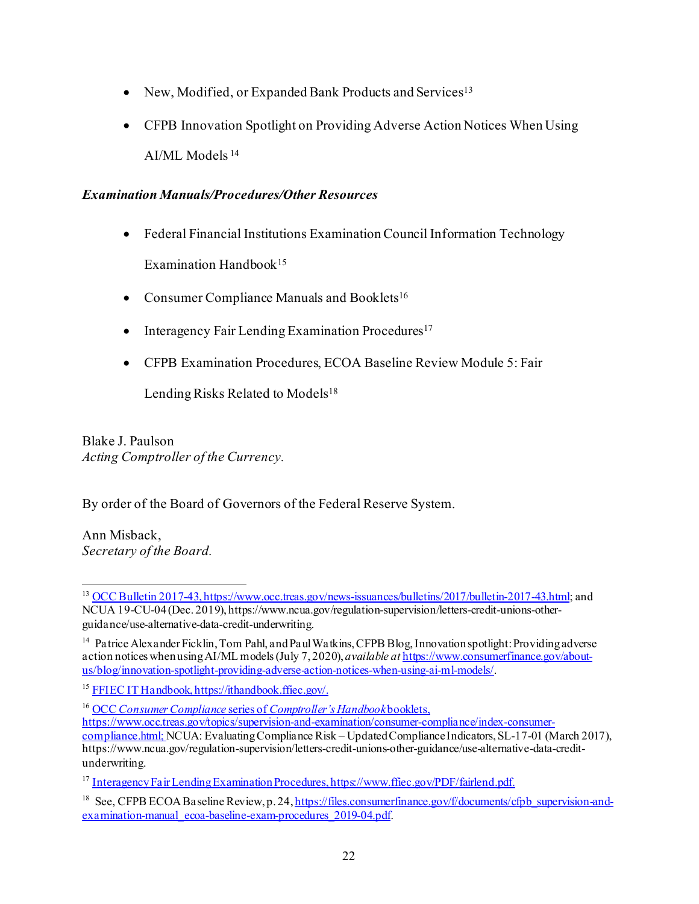- New, Modified, or Expanded Bank Products and Services<sup>13</sup>
- CFPB Innovation Spotlight on Providing Adverse Action Notices When Using AI/ML Models <sup>14</sup>

## *Examination Manuals/Procedures/Other Resources*

- Federal Financial Institutions Examination Council Information Technology Examination Handbook<sup>15</sup>
- Consumer Compliance Manuals and Booklets<sup>16</sup>
- Interagency Fair Lending Examination Procedures<sup>17</sup>
- CFPB Examination Procedures, ECOA Baseline Review Module 5: Fair

Lending Risks Related to Models<sup>18</sup>

Blake J. Paulson *Acting Comptroller of the Currency.*

By order of the Board of Governors of the Federal Reserve System.

Ann Misback, *Secretary of the Board.*

<sup>&</sup>lt;sup>13</sup> [OCC Bulletin 2017-43](https://www.occ.treas.gov/news-issuances/bulletins/2017/bulletin-2017-43.html), https://www.occ.treas.gov/news-issuances/bulletins/2017/bulletin-2017-43.html; and NCUA 19-CU-04 (Dec. 2019), https://www.ncua.gov/regulation-supervision/letters-credit-unions-otherguidance/use-alternative-data-credit-underwriting.

<sup>&</sup>lt;sup>14</sup> Patrice Alexander Ficklin, Tom Pahl, and Paul Watkins, CFPB Blog, Innovation spotlight: Providing adverse action notices when using AI/ML models (July 7, 2020), *available at* [https://www.consumerfinance.gov/about](https://www.consumerfinance.gov/about-us/blog/innovation-spotlight-providing-adverse-action-notices-when-using-ai-ml-models/)[us/blog/innovation-spotlight-providing-adverse-action-notices-when-using-ai-ml-models/.](https://www.consumerfinance.gov/about-us/blog/innovation-spotlight-providing-adverse-action-notices-when-using-ai-ml-models/)

<sup>15</sup> [FFIEC IT Handbook,](https://ithandbook.ffiec.gov/) https://ithandbook.ffiec.gov/.

<sup>16</sup> OCC *Consumer Compliance* series of *[Comptroller's Handbook](file:///%5C%5Cm-divfile01.frb.gov%5Clegaluser%5CFEDREG%5C2021%20REGULATIONS%5CR-XXXX%20AI%20RFI%20Patricia%20Gavin%5COCC%20Consumer%20Compliance%20series%20of%20Comptroller%E2%80%99s%20Handbook%20booklets,%20https:%5Cwww.occ.treas.gov%5Ctopics%5Csupervision-and-examination%5Cconsumer-compliance%5Cindex-consumer-compliance.html;)*booklets,

[https://www.occ.treas.gov/topics/supervision-and-examination/consumer-compliance/index-consumer-](file:///%5C%5Cm-divfile01.frb.gov%5Clegaluser%5CFEDREG%5C2021%20REGULATIONS%5CR-XXXX%20AI%20RFI%20Patricia%20Gavin%5COCC%20Consumer%20Compliance%20series%20of%20Comptroller%E2%80%99s%20Handbook%20booklets,%20https:%5Cwww.occ.treas.gov%5Ctopics%5Csupervision-and-examination%5Cconsumer-compliance%5Cindex-consumer-compliance.html;)

[compliance.html; N](file:///%5C%5Cm-divfile01.frb.gov%5Clegaluser%5CFEDREG%5C2021%20REGULATIONS%5CR-XXXX%20AI%20RFI%20Patricia%20Gavin%5COCC%20Consumer%20Compliance%20series%20of%20Comptroller%E2%80%99s%20Handbook%20booklets,%20https:%5Cwww.occ.treas.gov%5Ctopics%5Csupervision-and-examination%5Cconsumer-compliance%5Cindex-consumer-compliance.html;)CUA: Evaluating Compliance Risk – Updated Compliance Indicators, SL-17-01 (March 2017), https://www.ncua.gov/regulation-supervision/letters-credit-unions-other-guidance/use-alternative-data-creditunderwriting.

<sup>&</sup>lt;sup>17</sup> [Interagency Fair Lending Examination Procedures](https://www.ffiec.gov/PDF/fairlend.pdf), https://www.ffiec.gov/PDF/fairlend.pdf.

<sup>&</sup>lt;sup>18</sup> See, CFPB ECOA Baseline Review, p. 24[, https://files.consumerfinance.gov/f/documents/cfpb\\_supervision-and](https://files.consumerfinance.gov/f/documents/cfpb_supervision-and-examination-manual_ecoa-baseline-exam-procedures_2019-04.pdf)[examination-manual\\_ecoa-baseline-exam-procedures\\_2019-04.pdf](https://files.consumerfinance.gov/f/documents/cfpb_supervision-and-examination-manual_ecoa-baseline-exam-procedures_2019-04.pdf).